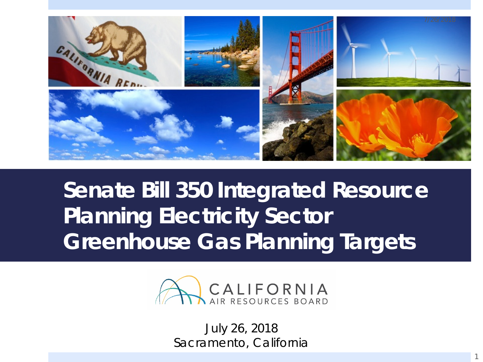

#### **Senate Bill 350 Integrated Resource Planning Electricity Sector Greenhouse Gas Planning Targets**



July 26, 2018 Sacramento, California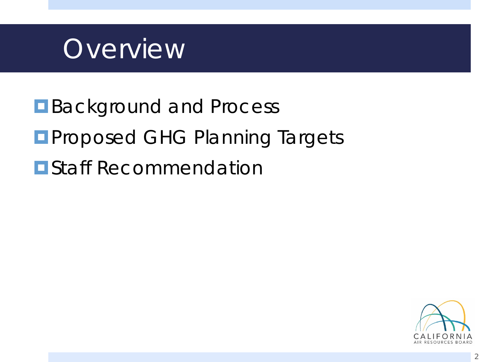

**Background and Process Proposed GHG Planning Targets E** Staff Recommendation

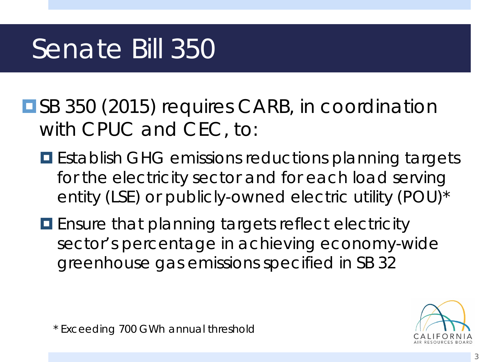## Senate Bill 350

 with CPUC and CEC, to: ■SB 350 (2015) requires CARB, in coordination

- **E** Establish GHG emissions reductions planning targets for the electricity sector and for each load serving entity (LSE) or publicly-owned electric utility (POU)\*
- **E** Ensure that planning targets reflect electricity greenhouse gas emissions specified in SB 32 sector's percentage in achieving economy-wide



\* Exceeding 700 GWh annual threshold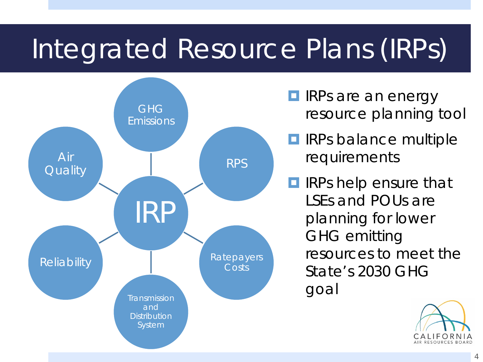## Integrated Resource Plans (IRPs)



- **IRPs are an energy** resource planning tool
- **<u><b>O**</u> IRPs balance multiple requirements
- planning for lower **IF IRPs help ensure that** LSEs and POUs are GHG emitting resources to meet the State's 2030 GHG goal

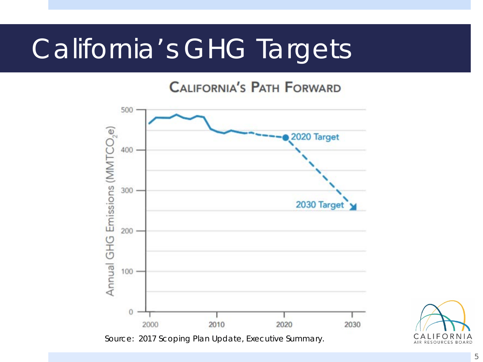### California's GHG Targets

**CALIFORNIA'S PATH FORWARD** 





5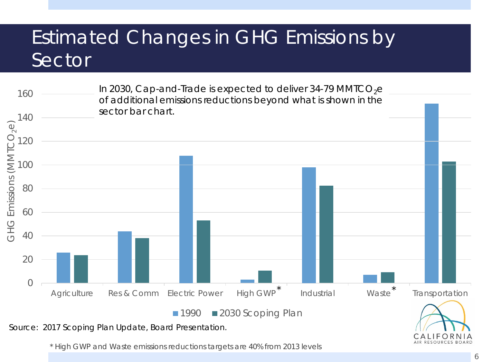#### Estimated Changes in GHG Emissions by Sector



\* High GWP and Waste emissions reductions targets are 40% from 2013 levels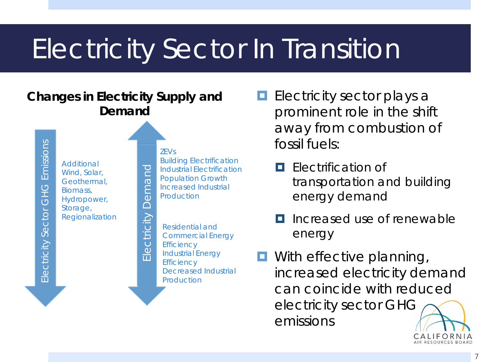## Electricity Sector In Transition

#### **Changes in Electricity Supply and Demand**

Electricity Sector GHG Emissions Electricity Sector GHG Emissions

ZEVs Build ing Electrification Additional Electricity Demand **Industrial Electrification** Wind, Solar, **Population Growth** Geothermal, Increased Industrial Biomass, Production Hydropower, Storage, Regionalization **Electricity** Residential and Commercial Energy **Efficiency** Industrial Energy **Efficiency** Decreased Industrial Production

- **E** Electricity sector plays a prominent role in the shift away from combustion of fossil fuels:
- energy demand  $\frac{1}{\sqrt{2}}$  Industrial Electrification<br>Population Growth **Electrification** and **Electrification Lating Communism** Growth **transportation and building**<br> **a** *Increased Industrial*<br> **energy demand** 
	- Increased use of renewable energy
	- **D** With effective planning, increased electricity demand can coincide with reduced electricity sector GHG emissions

**CALIFORNIA**  AIR RESOURCES BOARD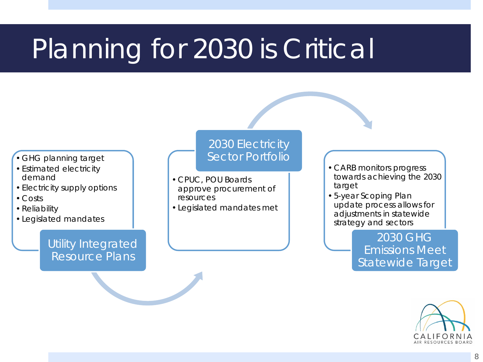## Planning for 2030 is Critical

- GHG planning target
- Estimated electricity demand
- Electricity supply options
- Costs
- Reliability
- Legislated mandates

#### Utility Integrated Resource Plans

#### 2030 Electricity Sector Portfolio

- CPUC, POU Boards approve procurement of resources
- Legislated mandates met

 • CARB monitors progress towards achieving the 2030 target

• 5-year Scoping Plan update process allows for adjustments in statewide strategy and sectors

> 2030 GHG Emissions Meet Statewide Target

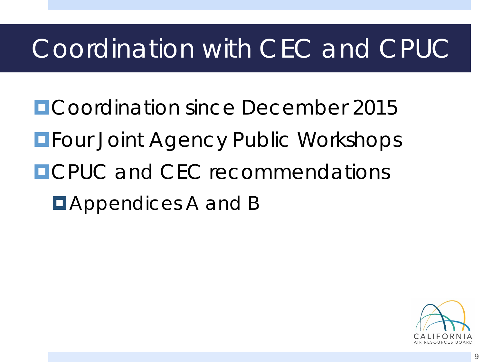### Coordination with CEC and CPUC

**ECoordination since December 2015 EFour Joint Agency Public Workshops OCPUC and CFC recommendations E** Appendices A and B

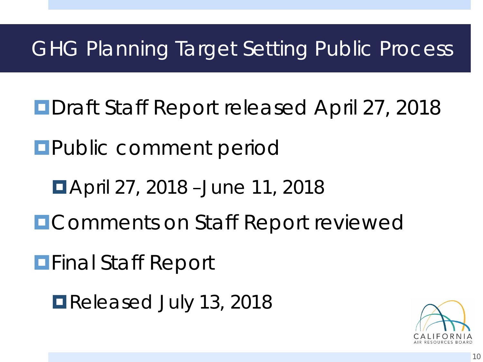#### GHG Planning Target Setting Public Process

- **ODraft Staff Report released April 27, 2018**
- **Public comment period** 
	- April 27, 2018 –June 11, 2018
- **EComments on Staff Report reviewed**

**Final Staff Report** 

Released July 13, 2018

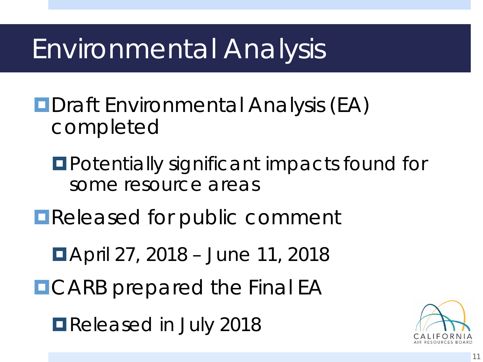### Environmental Analysis

- **<u></u>**Draft Environmental Analysis (EA) completed
	- **<u>EPotentially significant impacts found for</u>** some resource areas
- **E** Released for public comment
	- April 27, 2018 June 11, 2018
- **DCARB** prepared the Final EA
	- **Released in July 2018**

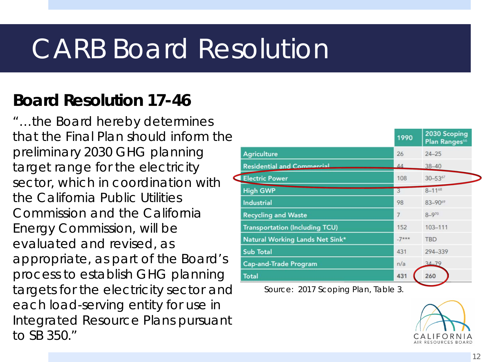### CARB Board Resolution

#### **Board Resolution 17-46**

 that the Final Plan should inform the preliminary 2030 GHG planning the California Public Utilities Energy Commission, will be evaluated and revised, as appropriate, as part of the Board's each load-serving entity for use in to SB 350." "…the Board hereby determines target range for the electricity sector, which in coordination with Commission and the California process to establish GHG planning targets for the electricity sector and *Source: 2017 Scoping Plan, Table 3.*  Integrated Resource Plans pursuant

|                                       | 1990           | 2030 Scoping<br>Plan Ranges <sup>66</sup> |
|---------------------------------------|----------------|-------------------------------------------|
| <b>Agriculture</b>                    | 26             | $24 - 25$                                 |
| <b>Residential and Commercial</b>     | $\Delta\Delta$ | $38 - 40$                                 |
| <b>Electric Power</b>                 | 108            | $30 - 53^{67}$                            |
| <b>High GWP</b>                       | 3              | $8 - 11^{68}$                             |
| Industrial                            | 98             | 83-9069                                   |
| <b>Recycling and Waste</b>            | $\overline{7}$ | $8 - 970$                                 |
| <b>Transportation (Including TCU)</b> | 152            | $103 - 111$                               |
| Natural Working Lands Net Sink*       | $-7***$        | <b>TBD</b>                                |
| <b>Sub Total</b>                      | 431            | 294-339                                   |
| <b>Cap-and-Trade Program</b>          | n/a            | $34 - 79$                                 |
| <b>Total</b>                          | 431            | 260                                       |

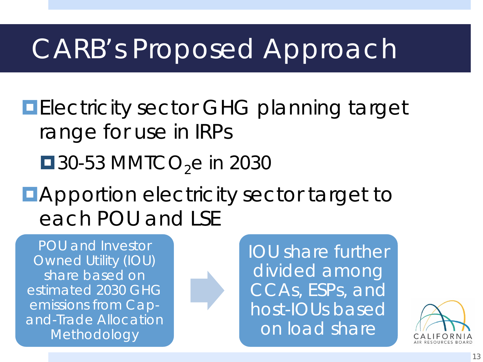### CARB's Proposed Approach

**Electricity sector GHG planning target** range for use in IRPs

 $\blacksquare$  30-53 MMTCO<sub>2</sub>e in 2030

**EApportion electricity sector target to** each POU and LSE

 POU and Investor share based on estimated 2030 GHG and-Trade Allocation Owned Utility (IOU) emissions from Cap-Methodology



 IOU share further CCAs, ESPs, and on load share divided among host-IOUs based

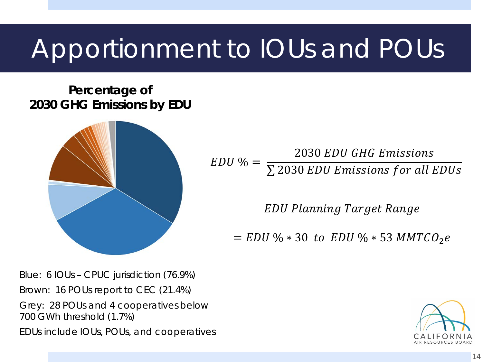### Apportionment to IOUs and POUs

**Percentage of 2030 GHG Emissions by EDU** 



2030 EDU GHG Emissions  $EDU$  % =  $\sqrt{\sum 2030\,EDU}$  Emissions for all EDUs

**EDU Planning Target Range** 

 $= EDU \% * 30$  to  $EDU \% * 53$  MMTCO<sub>2</sub>e

 Brown: 16 POUs report to CEC (21.4%) Grey: 28 POUs and 4 cooperatives below Blue: 6 IOUs – CPUC jurisdiction (76.9%) 700 GWh threshold (1.7%)

EDUs include IOUs, POUs, and cooperatives

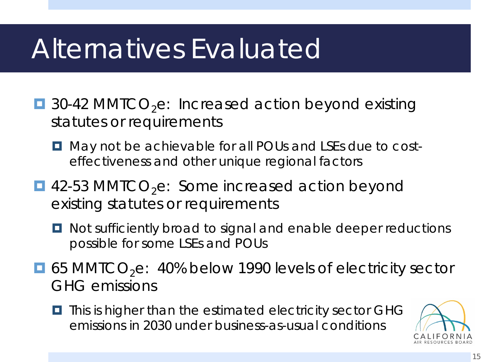### Alternatives Evaluated

- $\blacksquare$  30-42 MMTCO<sub>2</sub>e: Increased action beyond existing statutes or requirements
	- $\Box$  May not be achievable for all POUs and LSEs due to cost-effectiveness and other unique regional factors
- $\blacksquare$  42-53 MMTCO<sub>2</sub>e: Some increased action beyond existing statutes or requirements
	- **D** Not sufficiently broad to signal and enable deeper reductions possible for some LSEs and POUs
- $\blacksquare$  65 MMTCO<sub>2</sub>e: 40% below 1990 levels of electricity sector GHG emissions
	- emissions in 2030 under business-as-usual conditions  $\blacksquare$  This is higher than the estimated electricity sector GHG

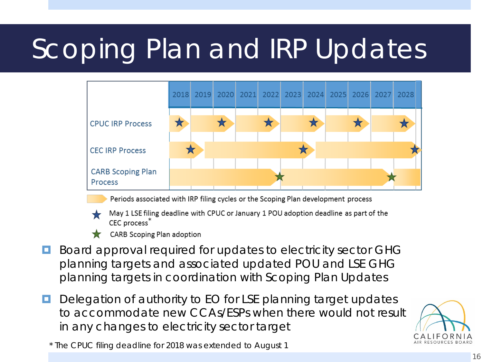# Scoping Plan and IRP Updates



Periods associated with IRP filing cycles or the Scoping Plan development process

- May 1 LSE filing deadline with CPUC or January 1 POU adoption deadline as part of the CEC process<sup>7</sup>
- CARB Scoping Plan adoption
- Board approval required for updates to electricity sector GHG planning targets and associated updated POU and LSE GHG planning targets in coordination with Scoping Plan Updates
- Delegation of authority to EO for LSE planning target updates to accommodate new CCAs/ESPs when there would not result in any changes to electricity sector target



\* The CPUC filing deadline for 2018 was extended to August 1